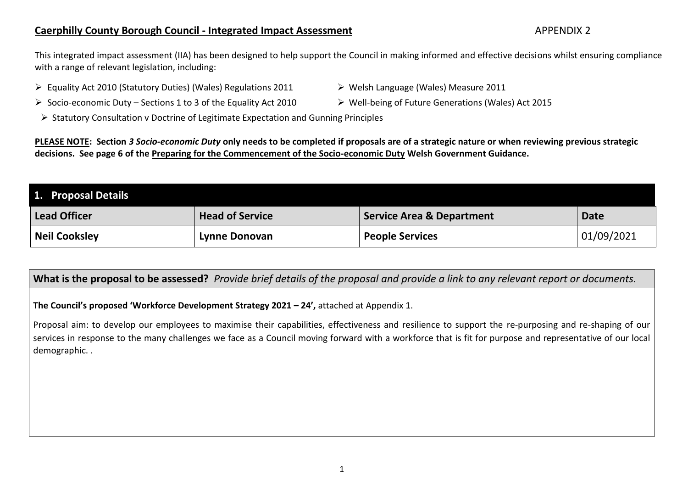## **Caerphilly County Borough Council - Integrated Impact Assessment** APPENDIX 2

This integrated impact assessment (IIA) has been designed to help support the Council in making informed and effective decisions whilst ensuring compliance with a range of relevant legislation, including:

- ▶ Equality Act 2010 (Statutory Duties) (Wales) Regulations 2011 > Welsh Language (Wales) Measure 2011
	-
- Socio-economic Duty Sections 1 to 3 of the Equality Act 2010 > Well-being of Future Generations (Wales) Act 2015
	- $\triangleright$  Statutory Consultation v Doctrine of Legitimate Expectation and Gunning Principles

**PLEASE NOTE: Section** *3 Socio-economic Duty* **only needs to be completed if proposals are of a strategic nature or when reviewing previous strategic decisions. See page 6 of the [Preparing for the Commencement of the Socio-economic Duty](https://gov.wales/sites/default/files/publications/2020-07/preparing-for-the-commencement-of-the-socio-economic-duty.pdf) Welsh Government Guidance.**

| 1. Proposal Details  |                        |                                      |             |
|----------------------|------------------------|--------------------------------------|-------------|
| <b>Lead Officer</b>  | <b>Head of Service</b> | <b>Service Area &amp; Department</b> | <b>Date</b> |
| <b>Neil Cooksley</b> | Lynne Donovan          | <b>People Services</b>               | 01/09/2021  |

**What is the proposal to be assessed?** *Provide brief details of the proposal and provide a link to any relevant report or documents.*

**The Council's proposed 'Workforce Development Strategy 2021 – 24',** attached at Appendix 1.

Proposal aim: to develop our employees to maximise their capabilities, effectiveness and resilience to support the re-purposing and re-shaping of our services in response to the many challenges we face as a Council moving forward with a workforce that is fit for purpose and representative of our local demographic. .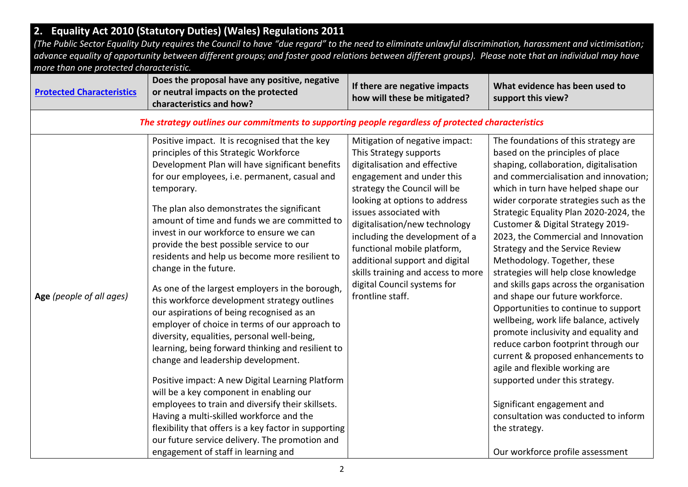|                                         | 2. Equality Act 2010 (Statutory Duties) (Wales) Regulations 2011                                                                                                                                                                                                                                                                                                                                                                                                                                                                                                                                                                                                                                                                                                                                                                                                                                                                                                                                                                                                                                                                                                          |                                                                                                                                                                                                                                                                                                                                                                                                                                               |                                                                                                                                                                                                                                                                                                                                                                                                                                                                                                                                                                                                                                                                                                                                                                                                                                                                                                                                                                   |
|-----------------------------------------|---------------------------------------------------------------------------------------------------------------------------------------------------------------------------------------------------------------------------------------------------------------------------------------------------------------------------------------------------------------------------------------------------------------------------------------------------------------------------------------------------------------------------------------------------------------------------------------------------------------------------------------------------------------------------------------------------------------------------------------------------------------------------------------------------------------------------------------------------------------------------------------------------------------------------------------------------------------------------------------------------------------------------------------------------------------------------------------------------------------------------------------------------------------------------|-----------------------------------------------------------------------------------------------------------------------------------------------------------------------------------------------------------------------------------------------------------------------------------------------------------------------------------------------------------------------------------------------------------------------------------------------|-------------------------------------------------------------------------------------------------------------------------------------------------------------------------------------------------------------------------------------------------------------------------------------------------------------------------------------------------------------------------------------------------------------------------------------------------------------------------------------------------------------------------------------------------------------------------------------------------------------------------------------------------------------------------------------------------------------------------------------------------------------------------------------------------------------------------------------------------------------------------------------------------------------------------------------------------------------------|
|                                         | (The Public Sector Equality Duty requires the Council to have "due regard" to the need to eliminate unlawful discrimination, harassment and victimisation;                                                                                                                                                                                                                                                                                                                                                                                                                                                                                                                                                                                                                                                                                                                                                                                                                                                                                                                                                                                                                |                                                                                                                                                                                                                                                                                                                                                                                                                                               |                                                                                                                                                                                                                                                                                                                                                                                                                                                                                                                                                                                                                                                                                                                                                                                                                                                                                                                                                                   |
|                                         | advance equality of opportunity between different groups; and foster good relations between different groups). Please note that an individual may have                                                                                                                                                                                                                                                                                                                                                                                                                                                                                                                                                                                                                                                                                                                                                                                                                                                                                                                                                                                                                    |                                                                                                                                                                                                                                                                                                                                                                                                                                               |                                                                                                                                                                                                                                                                                                                                                                                                                                                                                                                                                                                                                                                                                                                                                                                                                                                                                                                                                                   |
| more than one protected characteristic. |                                                                                                                                                                                                                                                                                                                                                                                                                                                                                                                                                                                                                                                                                                                                                                                                                                                                                                                                                                                                                                                                                                                                                                           |                                                                                                                                                                                                                                                                                                                                                                                                                                               |                                                                                                                                                                                                                                                                                                                                                                                                                                                                                                                                                                                                                                                                                                                                                                                                                                                                                                                                                                   |
| <b>Protected Characteristics</b>        | Does the proposal have any positive, negative<br>or neutral impacts on the protected<br>characteristics and how?                                                                                                                                                                                                                                                                                                                                                                                                                                                                                                                                                                                                                                                                                                                                                                                                                                                                                                                                                                                                                                                          | If there are negative impacts<br>how will these be mitigated?                                                                                                                                                                                                                                                                                                                                                                                 | What evidence has been used to<br>support this view?                                                                                                                                                                                                                                                                                                                                                                                                                                                                                                                                                                                                                                                                                                                                                                                                                                                                                                              |
|                                         | The strategy outlines our commitments to supporting people regardless of protected characteristics                                                                                                                                                                                                                                                                                                                                                                                                                                                                                                                                                                                                                                                                                                                                                                                                                                                                                                                                                                                                                                                                        |                                                                                                                                                                                                                                                                                                                                                                                                                                               |                                                                                                                                                                                                                                                                                                                                                                                                                                                                                                                                                                                                                                                                                                                                                                                                                                                                                                                                                                   |
| Age (people of all ages)                | Positive impact. It is recognised that the key<br>principles of this Strategic Workforce<br>Development Plan will have significant benefits<br>for our employees, i.e. permanent, casual and<br>temporary.<br>The plan also demonstrates the significant<br>amount of time and funds we are committed to<br>invest in our workforce to ensure we can<br>provide the best possible service to our<br>residents and help us become more resilient to<br>change in the future.<br>As one of the largest employers in the borough,<br>this workforce development strategy outlines<br>our aspirations of being recognised as an<br>employer of choice in terms of our approach to<br>diversity, equalities, personal well-being,<br>learning, being forward thinking and resilient to<br>change and leadership development.<br>Positive impact: A new Digital Learning Platform<br>will be a key component in enabling our<br>employees to train and diversify their skillsets.<br>Having a multi-skilled workforce and the<br>flexibility that offers is a key factor in supporting<br>our future service delivery. The promotion and<br>engagement of staff in learning and | Mitigation of negative impact:<br>This Strategy supports<br>digitalisation and effective<br>engagement and under this<br>strategy the Council will be<br>looking at options to address<br>issues associated with<br>digitalisation/new technology<br>including the development of a<br>functional mobile platform,<br>additional support and digital<br>skills training and access to more<br>digital Council systems for<br>frontline staff. | The foundations of this strategy are<br>based on the principles of place<br>shaping, collaboration, digitalisation<br>and commercialisation and innovation;<br>which in turn have helped shape our<br>wider corporate strategies such as the<br>Strategic Equality Plan 2020-2024, the<br>Customer & Digital Strategy 2019-<br>2023, the Commercial and Innovation<br>Strategy and the Service Review<br>Methodology. Together, these<br>strategies will help close knowledge<br>and skills gaps across the organisation<br>and shape our future workforce.<br>Opportunities to continue to support<br>wellbeing, work life balance, actively<br>promote inclusivity and equality and<br>reduce carbon footprint through our<br>current & proposed enhancements to<br>agile and flexible working are<br>supported under this strategy.<br>Significant engagement and<br>consultation was conducted to inform<br>the strategy.<br>Our workforce profile assessment |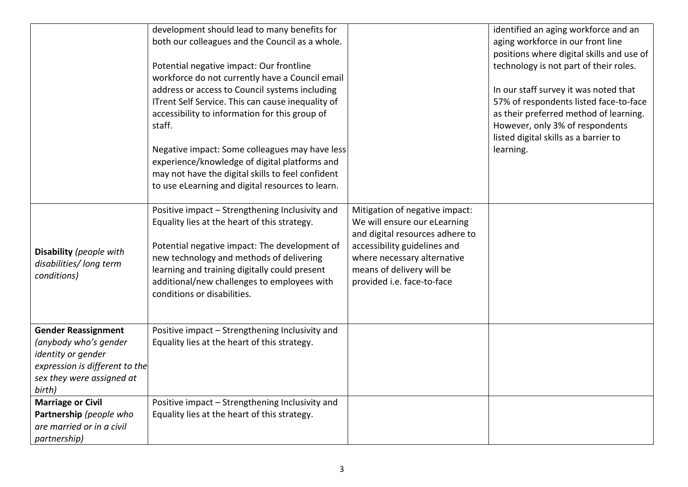| Disability (people with<br>disabilities/ long term<br>conditions)                                                                                                              | development should lead to many benefits for<br>both our colleagues and the Council as a whole.<br>Potential negative impact: Our frontline<br>workforce do not currently have a Council email<br>address or access to Council systems including<br>ITrent Self Service. This can cause inequality of<br>accessibility to information for this group of<br>staff.<br>Negative impact: Some colleagues may have less<br>experience/knowledge of digital platforms and<br>may not have the digital skills to feel confident<br>to use eLearning and digital resources to learn.<br>Positive impact - Strengthening Inclusivity and<br>Equality lies at the heart of this strategy.<br>Potential negative impact: The development of<br>new technology and methods of delivering<br>learning and training digitally could present<br>additional/new challenges to employees with<br>conditions or disabilities. | Mitigation of negative impact:<br>We will ensure our eLearning<br>and digital resources adhere to<br>accessibility guidelines and<br>where necessary alternative<br>means of delivery will be<br>provided i.e. face-to-face | identified an aging workforce and an<br>aging workforce in our front line<br>positions where digital skills and use of<br>technology is not part of their roles.<br>In our staff survey it was noted that<br>57% of respondents listed face-to-face<br>as their preferred method of learning.<br>However, only 3% of respondents<br>listed digital skills as a barrier to<br>learning. |
|--------------------------------------------------------------------------------------------------------------------------------------------------------------------------------|--------------------------------------------------------------------------------------------------------------------------------------------------------------------------------------------------------------------------------------------------------------------------------------------------------------------------------------------------------------------------------------------------------------------------------------------------------------------------------------------------------------------------------------------------------------------------------------------------------------------------------------------------------------------------------------------------------------------------------------------------------------------------------------------------------------------------------------------------------------------------------------------------------------|-----------------------------------------------------------------------------------------------------------------------------------------------------------------------------------------------------------------------------|----------------------------------------------------------------------------------------------------------------------------------------------------------------------------------------------------------------------------------------------------------------------------------------------------------------------------------------------------------------------------------------|
| <b>Gender Reassignment</b><br>(anybody who's gender<br>identity or gender<br>expression is different to the<br>sex they were assigned at<br>birth)<br><b>Marriage or Civil</b> | Positive impact - Strengthening Inclusivity and<br>Equality lies at the heart of this strategy.<br>Positive impact - Strengthening Inclusivity and                                                                                                                                                                                                                                                                                                                                                                                                                                                                                                                                                                                                                                                                                                                                                           |                                                                                                                                                                                                                             |                                                                                                                                                                                                                                                                                                                                                                                        |
| Partnership (people who<br>are married or in a civil<br>partnership)                                                                                                           | Equality lies at the heart of this strategy.                                                                                                                                                                                                                                                                                                                                                                                                                                                                                                                                                                                                                                                                                                                                                                                                                                                                 |                                                                                                                                                                                                                             |                                                                                                                                                                                                                                                                                                                                                                                        |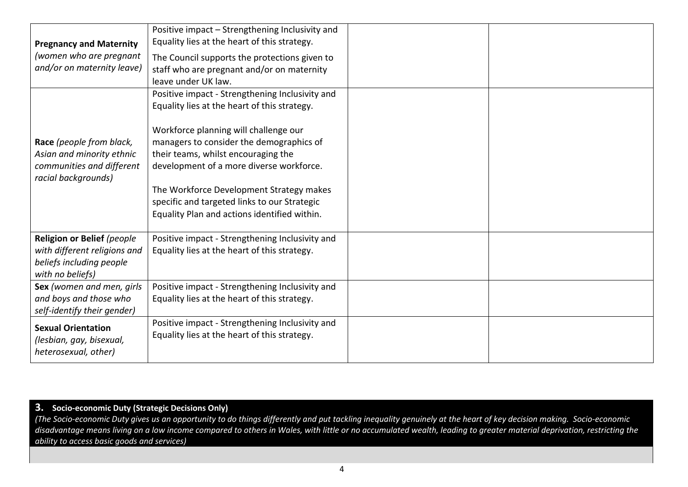| <b>Pregnancy and Maternity</b><br>(women who are pregnant<br>and/or on maternity leave)                    | Positive impact - Strengthening Inclusivity and<br>Equality lies at the heart of this strategy.<br>The Council supports the protections given to<br>staff who are pregnant and/or on maternity<br>leave under UK law.                                                                                                                                                                                               |  |
|------------------------------------------------------------------------------------------------------------|---------------------------------------------------------------------------------------------------------------------------------------------------------------------------------------------------------------------------------------------------------------------------------------------------------------------------------------------------------------------------------------------------------------------|--|
| Race (people from black,<br>Asian and minority ethnic<br>communities and different<br>racial backgrounds)  | Positive impact - Strengthening Inclusivity and<br>Equality lies at the heart of this strategy.<br>Workforce planning will challenge our<br>managers to consider the demographics of<br>their teams, whilst encouraging the<br>development of a more diverse workforce.<br>The Workforce Development Strategy makes<br>specific and targeted links to our Strategic<br>Equality Plan and actions identified within. |  |
| Religion or Belief (people<br>with different religions and<br>beliefs including people<br>with no beliefs) | Positive impact - Strengthening Inclusivity and<br>Equality lies at the heart of this strategy.                                                                                                                                                                                                                                                                                                                     |  |
| Sex (women and men, girls<br>and boys and those who<br>self-identify their gender)                         | Positive impact - Strengthening Inclusivity and<br>Equality lies at the heart of this strategy.                                                                                                                                                                                                                                                                                                                     |  |
| <b>Sexual Orientation</b><br>(lesbian, gay, bisexual,<br>heterosexual, other)                              | Positive impact - Strengthening Inclusivity and<br>Equality lies at the heart of this strategy.                                                                                                                                                                                                                                                                                                                     |  |

#### **3. Socio-economic Duty (Strategic Decisions Only)**

*(The Socio-economic Duty gives us an opportunity to do things differently and put tackling inequality genuinely at the heart of key decision making. Socio-economic disadvantage means living on a low income compared to others in Wales, with little or no accumulated wealth, leading to greater material deprivation, restricting the ability to access basic goods and services)*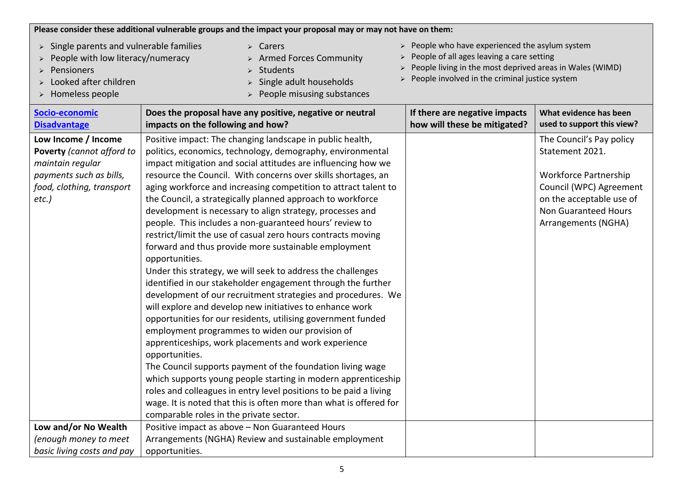|                                                                                                                                       | Please consider these additional vulnerable groups and the impact your proposal may or may not have on them:                                                                                                                                                                                                                                                                                                                                                                                                                                                                                                                                                                                                                                                                                                                                                                                                                                                                                                                                                                                                                                                                                                                                                                                                                                                                                                                              |                                                                                                                                                                                                                           |                                                                                                                                                                                          |
|---------------------------------------------------------------------------------------------------------------------------------------|-------------------------------------------------------------------------------------------------------------------------------------------------------------------------------------------------------------------------------------------------------------------------------------------------------------------------------------------------------------------------------------------------------------------------------------------------------------------------------------------------------------------------------------------------------------------------------------------------------------------------------------------------------------------------------------------------------------------------------------------------------------------------------------------------------------------------------------------------------------------------------------------------------------------------------------------------------------------------------------------------------------------------------------------------------------------------------------------------------------------------------------------------------------------------------------------------------------------------------------------------------------------------------------------------------------------------------------------------------------------------------------------------------------------------------------------|---------------------------------------------------------------------------------------------------------------------------------------------------------------------------------------------------------------------------|------------------------------------------------------------------------------------------------------------------------------------------------------------------------------------------|
| Single parents and vulnerable families<br>People with low literacy/numeracy<br>Pensioners<br>Looked after children<br>Homeless people | $\triangleright$ Carers<br>$\triangleright$ Armed Forces Community<br>Students<br>Single adult households<br>People misusing substances                                                                                                                                                                                                                                                                                                                                                                                                                                                                                                                                                                                                                                                                                                                                                                                                                                                                                                                                                                                                                                                                                                                                                                                                                                                                                                   | $\triangleright$ People who have experienced the asylum system<br>People of all ages leaving a care setting<br>People living in the most deprived areas in Wales (WIMD)<br>People involved in the criminal justice system |                                                                                                                                                                                          |
| Socio-economic<br><b>Disadvantage</b>                                                                                                 | Does the proposal have any positive, negative or neutral<br>impacts on the following and how?                                                                                                                                                                                                                                                                                                                                                                                                                                                                                                                                                                                                                                                                                                                                                                                                                                                                                                                                                                                                                                                                                                                                                                                                                                                                                                                                             | If there are negative impacts<br>how will these be mitigated?                                                                                                                                                             | What evidence has been<br>used to support this view?                                                                                                                                     |
| Low Income / Income<br>Poverty (cannot afford to<br>maintain regular<br>payments such as bills,<br>food, clothing, transport<br>etc.) | Positive impact: The changing landscape in public health,<br>politics, economics, technology, demography, environmental<br>impact mitigation and social attitudes are influencing how we<br>resource the Council. With concerns over skills shortages, an<br>aging workforce and increasing competition to attract talent to<br>the Council, a strategically planned approach to workforce<br>development is necessary to align strategy, processes and<br>people. This includes a non-guaranteed hours' review to<br>restrict/limit the use of casual zero hours contracts moving<br>forward and thus provide more sustainable employment<br>opportunities.<br>Under this strategy, we will seek to address the challenges<br>identified in our stakeholder engagement through the further<br>development of our recruitment strategies and procedures. We<br>will explore and develop new initiatives to enhance work<br>opportunities for our residents, utilising government funded<br>employment programmes to widen our provision of<br>apprenticeships, work placements and work experience<br>opportunities.<br>The Council supports payment of the foundation living wage<br>which supports young people starting in modern apprenticeship<br>roles and colleagues in entry level positions to be paid a living<br>wage. It is noted that this is often more than what is offered for<br>comparable roles in the private sector. |                                                                                                                                                                                                                           | The Council's Pay policy<br>Statement 2021.<br><b>Workforce Partnership</b><br>Council (WPC) Agreement<br>on the acceptable use of<br><b>Non Guaranteed Hours</b><br>Arrangements (NGHA) |
| Low and/or No Wealth                                                                                                                  | Positive impact as above - Non Guaranteed Hours                                                                                                                                                                                                                                                                                                                                                                                                                                                                                                                                                                                                                                                                                                                                                                                                                                                                                                                                                                                                                                                                                                                                                                                                                                                                                                                                                                                           |                                                                                                                                                                                                                           |                                                                                                                                                                                          |
| (enough money to meet                                                                                                                 | Arrangements (NGHA) Review and sustainable employment                                                                                                                                                                                                                                                                                                                                                                                                                                                                                                                                                                                                                                                                                                                                                                                                                                                                                                                                                                                                                                                                                                                                                                                                                                                                                                                                                                                     |                                                                                                                                                                                                                           |                                                                                                                                                                                          |
| basic living costs and pay                                                                                                            | opportunities.                                                                                                                                                                                                                                                                                                                                                                                                                                                                                                                                                                                                                                                                                                                                                                                                                                                                                                                                                                                                                                                                                                                                                                                                                                                                                                                                                                                                                            |                                                                                                                                                                                                                           |                                                                                                                                                                                          |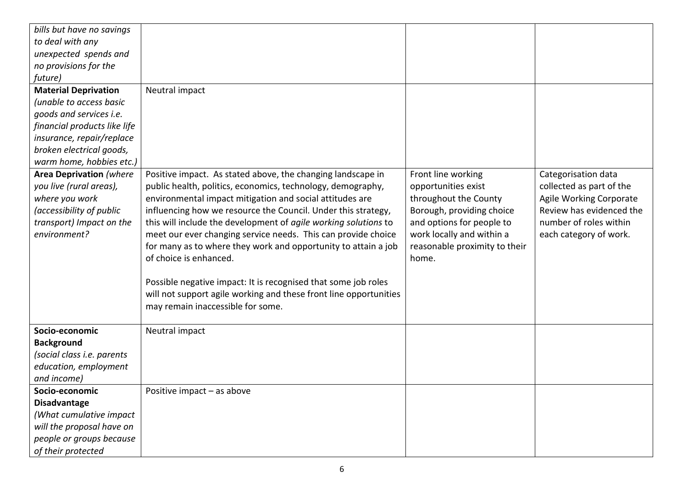| bills but have no savings      |                                                                   |                               |                          |
|--------------------------------|-------------------------------------------------------------------|-------------------------------|--------------------------|
| to deal with any               |                                                                   |                               |                          |
| unexpected spends and          |                                                                   |                               |                          |
| no provisions for the          |                                                                   |                               |                          |
| future)                        |                                                                   |                               |                          |
| <b>Material Deprivation</b>    | Neutral impact                                                    |                               |                          |
| (unable to access basic        |                                                                   |                               |                          |
| goods and services i.e.        |                                                                   |                               |                          |
| financial products like life   |                                                                   |                               |                          |
| insurance, repair/replace      |                                                                   |                               |                          |
| broken electrical goods,       |                                                                   |                               |                          |
| warm home, hobbies etc.)       |                                                                   |                               |                          |
| <b>Area Deprivation (where</b> | Positive impact. As stated above, the changing landscape in       | Front line working            | Categorisation data      |
| you live (rural areas),        | public health, politics, economics, technology, demography,       | opportunities exist           | collected as part of the |
| where you work                 | environmental impact mitigation and social attitudes are          | throughout the County         | Agile Working Corporate  |
| (accessibility of public       | influencing how we resource the Council. Under this strategy,     | Borough, providing choice     | Review has evidenced the |
| transport) Impact on the       | this will include the development of agile working solutions to   | and options for people to     | number of roles within   |
| environment?                   | meet our ever changing service needs. This can provide choice     | work locally and within a     | each category of work.   |
|                                | for many as to where they work and opportunity to attain a job    | reasonable proximity to their |                          |
|                                | of choice is enhanced.                                            | home.                         |                          |
|                                |                                                                   |                               |                          |
|                                | Possible negative impact: It is recognised that some job roles    |                               |                          |
|                                | will not support agile working and these front line opportunities |                               |                          |
|                                | may remain inaccessible for some.                                 |                               |                          |
|                                |                                                                   |                               |                          |
| Socio-economic                 | Neutral impact                                                    |                               |                          |
| <b>Background</b>              |                                                                   |                               |                          |
| (social class i.e. parents     |                                                                   |                               |                          |
| education, employment          |                                                                   |                               |                          |
| and income)                    |                                                                   |                               |                          |
| Socio-economic                 | Positive impact - as above                                        |                               |                          |
| Disadvantage                   |                                                                   |                               |                          |
| (What cumulative impact        |                                                                   |                               |                          |
| will the proposal have on      |                                                                   |                               |                          |
| people or groups because       |                                                                   |                               |                          |
| of their protected             |                                                                   |                               |                          |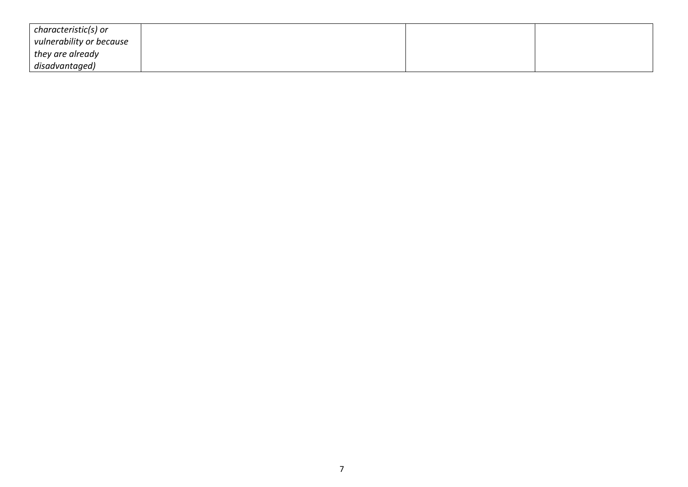| characteristic(s) or     |  |  |
|--------------------------|--|--|
| vulnerability or because |  |  |
| they are already         |  |  |
| disadvantaged)           |  |  |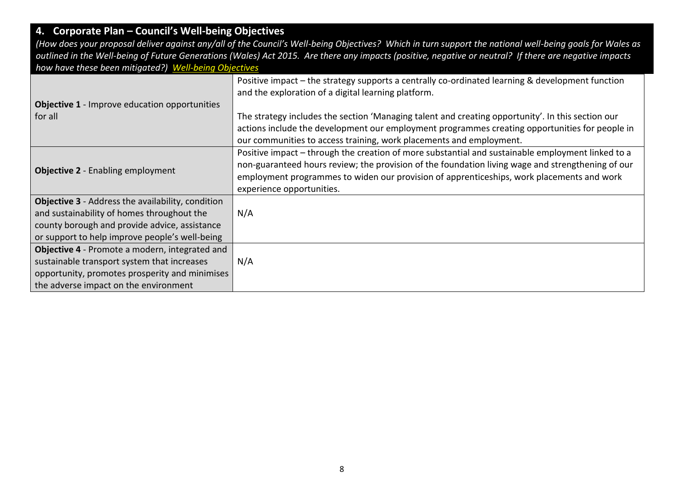# **4. Corporate Plan – Council's Well-being Objectives**

(How does your proposal deliver against any/all of the Council's Well-being Objectives? Which in turn support the national well-being goals for Wales as *outlined in the Well-being of Future Generations (Wales) Act 2015. Are there any impacts (positive, negative or neutral? If there are negative impacts how have these been mitigated?) [Well-being Objectives](https://www.caerphilly.gov.uk/CaerphillyDocs/Council-and-democracy/Corporate_Plan_2018-2023.aspx)*

| <b>Objective 1</b> - Improve education opportunities     | Positive impact - the strategy supports a centrally co-ordinated learning & development function<br>and the exploration of a digital learning platform.                                                                                                                                                                          |
|----------------------------------------------------------|----------------------------------------------------------------------------------------------------------------------------------------------------------------------------------------------------------------------------------------------------------------------------------------------------------------------------------|
| for all                                                  | The strategy includes the section 'Managing talent and creating opportunity'. In this section our<br>actions include the development our employment programmes creating opportunities for people in<br>our communities to access training, work placements and employment.                                                       |
| <b>Objective 2</b> - Enabling employment                 | Positive impact - through the creation of more substantial and sustainable employment linked to a<br>non-guaranteed hours review; the provision of the foundation living wage and strengthening of our<br>employment programmes to widen our provision of apprenticeships, work placements and work<br>experience opportunities. |
| <b>Objective 3</b> - Address the availability, condition |                                                                                                                                                                                                                                                                                                                                  |
| and sustainability of homes throughout the               | N/A                                                                                                                                                                                                                                                                                                                              |
| county borough and provide advice, assistance            |                                                                                                                                                                                                                                                                                                                                  |
| or support to help improve people's well-being           |                                                                                                                                                                                                                                                                                                                                  |
| Objective 4 - Promote a modern, integrated and           |                                                                                                                                                                                                                                                                                                                                  |
| sustainable transport system that increases              | N/A                                                                                                                                                                                                                                                                                                                              |
| opportunity, promotes prosperity and minimises           |                                                                                                                                                                                                                                                                                                                                  |
| the adverse impact on the environment                    |                                                                                                                                                                                                                                                                                                                                  |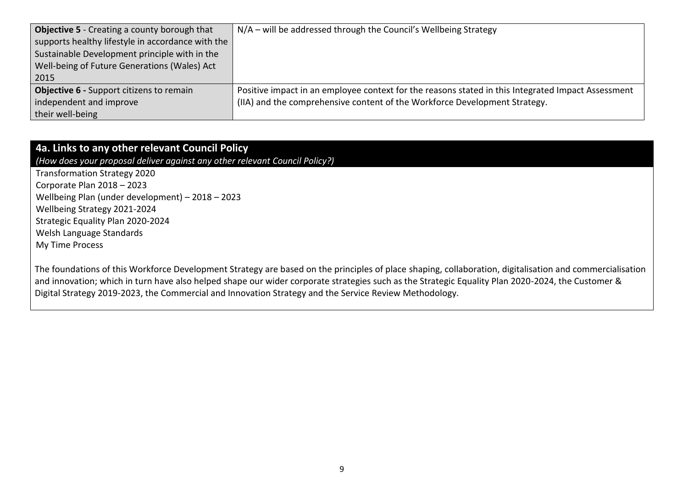| <b>Objective 5</b> - Creating a county borough that | N/A – will be addressed through the Council's Wellbeing Strategy                                   |
|-----------------------------------------------------|----------------------------------------------------------------------------------------------------|
| supports healthy lifestyle in accordance with the   |                                                                                                    |
| Sustainable Development principle with in the       |                                                                                                    |
| Well-being of Future Generations (Wales) Act        |                                                                                                    |
| 2015                                                |                                                                                                    |
| Objective 6 - Support citizens to remain            | Positive impact in an employee context for the reasons stated in this Integrated Impact Assessment |
| independent and improve                             | (IIA) and the comprehensive content of the Workforce Development Strategy.                         |
| their well-being                                    |                                                                                                    |

## **4a. Links to any other relevant Council Policy**

*(How does your proposal deliver against any other relevant Council Policy?)*

Transformation Strategy 2020 Corporate Plan 2018 – 2023 Wellbeing Plan (under development) – 2018 – 2023 Wellbeing Strategy 2021-2024 Strategic Equality Plan 2020-2024 Welsh Language Standards My Time Process

The foundations of this Workforce Development Strategy are based on the principles of place shaping, collaboration, digitalisation and commercialisation and innovation; which in turn have also helped shape our wider corporate strategies such as the Strategic Equality Plan 2020-2024, the Customer & Digital Strategy 2019-2023, the Commercial and Innovation Strategy and the Service Review Methodology.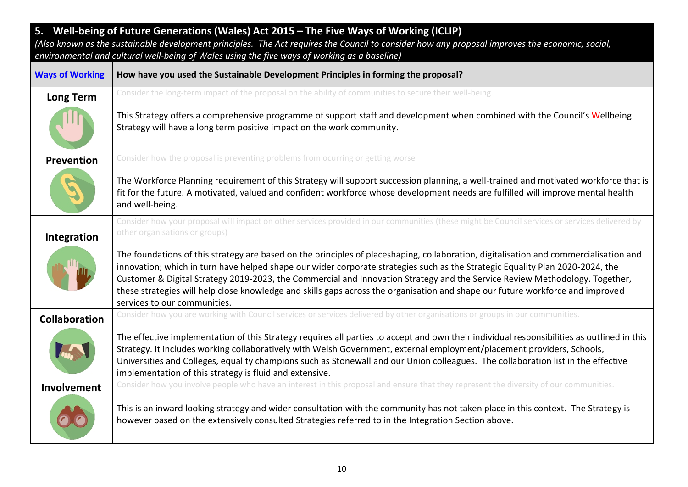| 5. Well-being of Future Generations (Wales) Act 2015 - The Five Ways of Working (ICLIP)<br>(Also known as the sustainable development principles. The Act requires the Council to consider how any proposal improves the economic, social,<br>environmental and cultural well-being of Wales using the five ways of working as a baseline) |                                                                                                                                                                                                                                                                                                                                                                                                                                                                                                                                                                         |  |
|--------------------------------------------------------------------------------------------------------------------------------------------------------------------------------------------------------------------------------------------------------------------------------------------------------------------------------------------|-------------------------------------------------------------------------------------------------------------------------------------------------------------------------------------------------------------------------------------------------------------------------------------------------------------------------------------------------------------------------------------------------------------------------------------------------------------------------------------------------------------------------------------------------------------------------|--|
| <b>Ways of Working</b>                                                                                                                                                                                                                                                                                                                     | How have you used the Sustainable Development Principles in forming the proposal?                                                                                                                                                                                                                                                                                                                                                                                                                                                                                       |  |
| <b>Long Term</b>                                                                                                                                                                                                                                                                                                                           | Consider the long-term impact of the proposal on the ability of communities to secure their well-being.                                                                                                                                                                                                                                                                                                                                                                                                                                                                 |  |
|                                                                                                                                                                                                                                                                                                                                            | This Strategy offers a comprehensive programme of support staff and development when combined with the Council's Wellbeing<br>Strategy will have a long term positive impact on the work community.                                                                                                                                                                                                                                                                                                                                                                     |  |
| Prevention                                                                                                                                                                                                                                                                                                                                 | Consider how the proposal is preventing problems from ocurring or getting worse                                                                                                                                                                                                                                                                                                                                                                                                                                                                                         |  |
|                                                                                                                                                                                                                                                                                                                                            | The Workforce Planning requirement of this Strategy will support succession planning, a well-trained and motivated workforce that is<br>fit for the future. A motivated, valued and confident workforce whose development needs are fulfilled will improve mental health<br>and well-being.                                                                                                                                                                                                                                                                             |  |
| Integration                                                                                                                                                                                                                                                                                                                                | Consider how your proposal will impact on other services provided in our communities (these might be Council services or services delivered by<br>other organisations or groups)                                                                                                                                                                                                                                                                                                                                                                                        |  |
|                                                                                                                                                                                                                                                                                                                                            | The foundations of this strategy are based on the principles of placeshaping, collaboration, digitalisation and commercialisation and<br>innovation; which in turn have helped shape our wider corporate strategies such as the Strategic Equality Plan 2020-2024, the<br>Customer & Digital Strategy 2019-2023, the Commercial and Innovation Strategy and the Service Review Methodology. Together,<br>these strategies will help close knowledge and skills gaps across the organisation and shape our future workforce and improved<br>services to our communities. |  |
| <b>Collaboration</b>                                                                                                                                                                                                                                                                                                                       | Consider how you are working with Council services or services delivered by other organisations or groups in our communities.                                                                                                                                                                                                                                                                                                                                                                                                                                           |  |
|                                                                                                                                                                                                                                                                                                                                            | The effective implementation of this Strategy requires all parties to accept and own their individual responsibilities as outlined in this<br>Strategy. It includes working collaboratively with Welsh Government, external employment/placement providers, Schools,<br>Universities and Colleges, equality champions such as Stonewall and our Union colleagues. The collaboration list in the effective<br>implementation of this strategy is fluid and extensive.                                                                                                    |  |
| Involvement                                                                                                                                                                                                                                                                                                                                | Consider how you involve people who have an interest in this proposal and ensure that they represent the diversity of our communities.<br>This is an inward looking strategy and wider consultation with the community has not taken place in this context. The Strategy is<br>however based on the extensively consulted Strategies referred to in the Integration Section above.                                                                                                                                                                                      |  |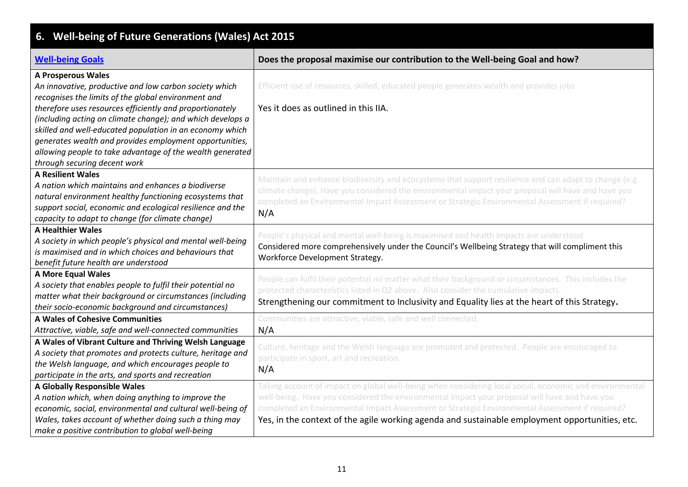| Well-being of Future Generations (Wales) Act 2015<br>6.                                                                                                                                                                                                                                                                                                                                                                                                                                  |                                                                                                                                                                                                                                                                                                                                                                                                               |  |  |
|------------------------------------------------------------------------------------------------------------------------------------------------------------------------------------------------------------------------------------------------------------------------------------------------------------------------------------------------------------------------------------------------------------------------------------------------------------------------------------------|---------------------------------------------------------------------------------------------------------------------------------------------------------------------------------------------------------------------------------------------------------------------------------------------------------------------------------------------------------------------------------------------------------------|--|--|
| <b>Well-being Goals</b>                                                                                                                                                                                                                                                                                                                                                                                                                                                                  | Does the proposal maximise our contribution to the Well-being Goal and how?                                                                                                                                                                                                                                                                                                                                   |  |  |
| <b>A Prosperous Wales</b><br>An innovative, productive and low carbon society which<br>recognises the limits of the global environment and<br>therefore uses resources efficiently and proportionately<br>(including acting on climate change); and which develops a<br>skilled and well-educated population in an economy which<br>generates wealth and provides employment opportunities,<br>allowing people to take advantage of the wealth generated<br>through securing decent work | Efficient use of resources, skilled, educated people generates wealth and provides jobs<br>Yes it does as outlined in this IIA.                                                                                                                                                                                                                                                                               |  |  |
| <b>A Resilient Wales</b><br>A nation which maintains and enhances a biodiverse<br>natural environment healthy functioning ecosystems that<br>support social, economic and ecological resilience and the<br>capacity to adapt to change (for climate change)                                                                                                                                                                                                                              | Maintain and enhance biodiversity and ecosystems that support resilience and can adapt to change (e.g.<br>climate change). Have you considered the environmental impact your proposal will have and have you<br>completed an Environmental Impact Assessment or Strategic Environmental Assessment if required?<br>N/A                                                                                        |  |  |
| <b>A Healthier Wales</b><br>A society in which people's physical and mental well-being<br>is maximised and in which choices and behaviours that<br>benefit future health are understood                                                                                                                                                                                                                                                                                                  | People's physical and mental well-being is maximised and health impacts are understood<br>Considered more comprehensively under the Council's Wellbeing Strategy that will compliment this<br>Workforce Development Strategy.                                                                                                                                                                                 |  |  |
| <b>A More Equal Wales</b><br>A society that enables people to fulfil their potential no<br>matter what their background or circumstances (including<br>their socio-economic background and circumstances)                                                                                                                                                                                                                                                                                | People can fulfil their potential no matter what their background or circumstances. This includes the<br>protected characteristics listed in Q2 above. Also consider the cumulative impacts.<br>Strengthening our commitment to Inclusivity and Equality lies at the heart of this Strategy.                                                                                                                  |  |  |
| <b>A Wales of Cohesive Communities</b><br>Attractive, viable, safe and well-connected communities                                                                                                                                                                                                                                                                                                                                                                                        | Communities are attractive, viable, safe and well connected.<br>N/A                                                                                                                                                                                                                                                                                                                                           |  |  |
| A Wales of Vibrant Culture and Thriving Welsh Language<br>A society that promotes and protects culture, heritage and<br>the Welsh language, and which encourages people to<br>participate in the arts, and sports and recreation                                                                                                                                                                                                                                                         | Culture, heritage and the Welsh language are promoted and protected. People are encouraged to<br>participate in sport, art and recreation.<br>N/A                                                                                                                                                                                                                                                             |  |  |
| <b>A Globally Responsible Wales</b><br>A nation which, when doing anything to improve the<br>economic, social, environmental and cultural well-being of<br>Wales, takes account of whether doing such a thing may<br>make a positive contribution to global well-being                                                                                                                                                                                                                   | Taking account of impact on global well-being when considering local social, economic and environmental<br>well-being. Have you considered the environmental impact your proposal will have and have you<br>completed an Environmental Impact Assessment or Strategic Environmental Assessment if required?<br>Yes, in the context of the agile working agenda and sustainable employment opportunities, etc. |  |  |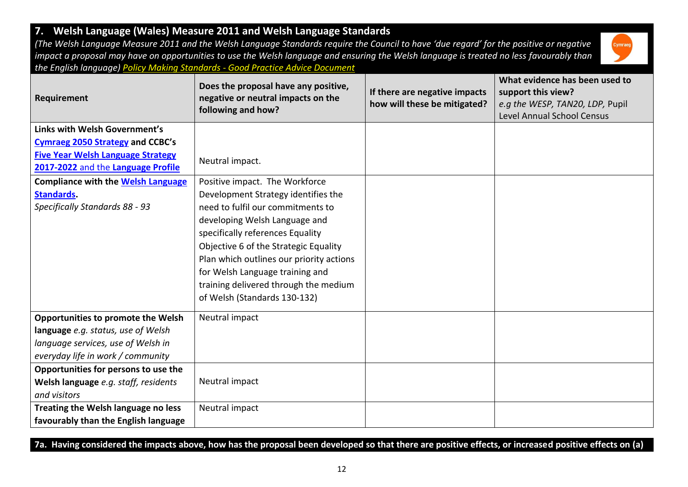#### **Requirement Does the proposal have any positive, negative or neutral impacts on the following and how? If there are negative impacts how will these be mitigated? What evidence has been used to support this view?**  *e.g the WESP, TAN20, LDP,* Pupil Level Annual School Census **Links with Welsh Government's [Cymraeg 2050 Strategy](https://gov.wales/sites/default/files/publications/2018-12/cymraeg-2050-welsh-language-strategy.pdf) and CCBC's [Five Year Welsh Language Strategy](https://www.caerphilly.gov.uk/My-Council/Strategies,-plans-and-policies/Equalities/Welsh-Language-Strategy)  [2017-2022](https://www.caerphilly.gov.uk/My-Council/Strategies,-plans-and-policies/Equalities/Welsh-Language-Strategy)** and the **[Language Profile](https://www.caerphilly.gov.uk/CaerphillyDocs/Equalities/Welsh_Language_Profile_2016.aspx)** Neutral impact. **Compliance with the [Welsh Language](https://www.caerphilly.gov.uk/CaerphillyDocs/Equalities/ComplianceNotice.aspx)  [Standards.](https://www.caerphilly.gov.uk/CaerphillyDocs/Equalities/ComplianceNotice.aspx)**  *Specifically Standards 88 - 93*  Positive impact. The Workforce Development Strategy identifies the need to fulfil our commitments to developing Welsh Language and specifically references Equality Objective 6 of the Strategic Equality Plan which outlines our priority actions for Welsh Language training and training delivered through the medium of Welsh (Standards 130-132) **Opportunities to promote the Welsh language** *e.g. status, use of Welsh language services, use of Welsh in everyday life in work / community* Neutral impact **Opportunities for persons to use the Welsh language** *e.g. staff, residents and visitors* Neutral impact **Treating the Welsh language no less favourably than the English language** Neutral impact

**7. Welsh Language (Wales) Measure 2011 and Welsh Language Standards** 

*(The Welsh Language Measure 2011 and the Welsh Language Standards require the Council to have 'due regard' for the positive or negative impact a proposal may have on opportunities to use the Welsh language and ensuring the Welsh language is treated no less favourably than the English language) Policy Making Standards - [Good Practice Advice Document](http://sc-aptdken2/KENTICO10/getattachment/b33d6f35-d70e-4d8d-917d-cc0e4abe2624/Policy-Making-Standards-Advisory-Document.aspx)*



**7a. Having considered the impacts above, how has the proposal been developed so that there are positive effects, or increased positive effects on (a)**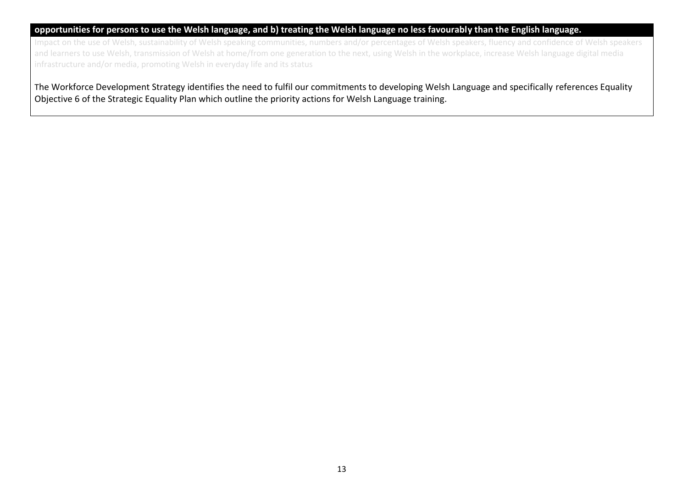#### **opportunities for persons to use the Welsh language, and b) treating the Welsh language no less favourably than the English language.**

Impact on the use of Welsh, sustainability of Welsh speaking communities, numbers and/or percentages of Welsh speakers, fluency and confidence of Welsh speakers and learners to use Welsh, transmission of Welsh at home/from one generation to the next, using Welsh in the workplace, increase Welsh language digital media infrastructure and/or media, promoting Welsh in everyday life and its status

The Workforce Development Strategy identifies the need to fulfil our commitments to developing Welsh Language and specifically references Equality Objective 6 of the Strategic Equality Plan which outline the priority actions for Welsh Language training.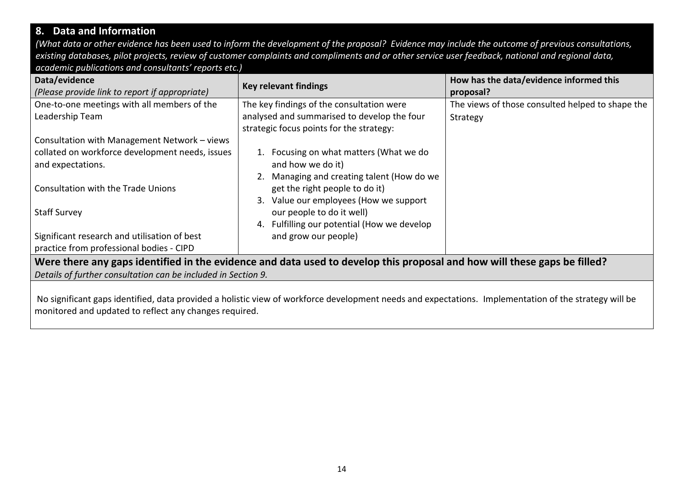## **8. Data and Information**

*(What data or other evidence has been used to inform the development of the proposal? Evidence may include the outcome of previous consultations, existing databases, pilot projects, review of customer complaints and compliments and or other service user feedback, national and regional data, academic publications and consultants' reports etc.)*

| Data/evidence<br>(Please provide link to report if appropriate)                                                                                       | <b>Key relevant findings</b>                | How has the data/evidence informed this<br>proposal? |  |
|-------------------------------------------------------------------------------------------------------------------------------------------------------|---------------------------------------------|------------------------------------------------------|--|
| One-to-one meetings with all members of the                                                                                                           | The key findings of the consultation were   | The views of those consulted helped to shape the     |  |
| Leadership Team                                                                                                                                       | analysed and summarised to develop the four | Strategy                                             |  |
|                                                                                                                                                       | strategic focus points for the strategy:    |                                                      |  |
| Consultation with Management Network - views                                                                                                          |                                             |                                                      |  |
| collated on workforce development needs, issues                                                                                                       | 1. Focusing on what matters (What we do     |                                                      |  |
| and expectations.                                                                                                                                     | and how we do it)                           |                                                      |  |
|                                                                                                                                                       | 2. Managing and creating talent (How do we  |                                                      |  |
| <b>Consultation with the Trade Unions</b>                                                                                                             | get the right people to do it)              |                                                      |  |
|                                                                                                                                                       | 3. Value our employees (How we support      |                                                      |  |
| <b>Staff Survey</b>                                                                                                                                   | our people to do it well)                   |                                                      |  |
|                                                                                                                                                       | 4. Fulfilling our potential (How we develop |                                                      |  |
| Significant research and utilisation of best                                                                                                          | and grow our people)                        |                                                      |  |
| practice from professional bodies - CIPD                                                                                                              |                                             |                                                      |  |
| Were there any gaps identified in the evidence and data used to develop this proposal and how will these gaps be filled?                              |                                             |                                                      |  |
| Details of further consultation can be included in Section 9.                                                                                         |                                             |                                                      |  |
|                                                                                                                                                       |                                             |                                                      |  |
| No significant gaps identified, data provided a holistic view of workforce development needs and expectations. Implementation of the strategy will be |                                             |                                                      |  |
| monitored and updated to reflect any changes required.                                                                                                |                                             |                                                      |  |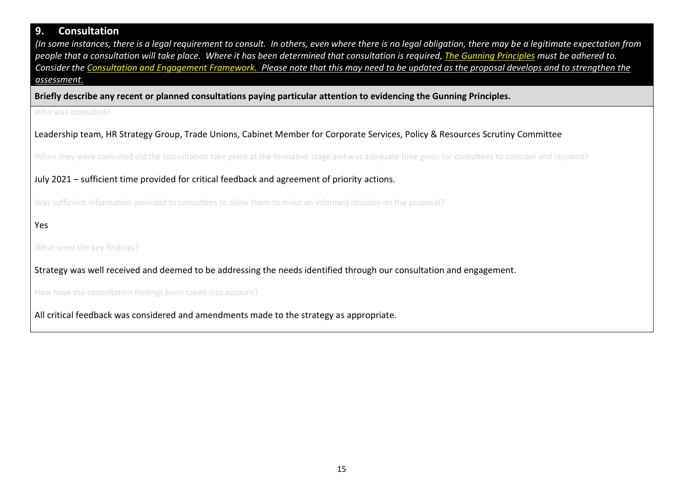## **9. Consultation**

*(In some instances, there is a legal requirement to consult. In others, even where there is no legal obligation, there may be a legitimate expectation from people that a consultation will take place. Where it has been determined that consultation is required, [The Gunning Principles](https://www.consultationinstitute.org/the-gunning-principles-implications/) must be adhered to. Consider the [Consultation and Engagement Framework.](https://www.caerphilly.gov.uk/CaerphillyDocs/Consultations/Consultation-and-Engagement-Framework.aspx) Please note that this may need to be updated as the proposal develops and to strengthen the assessment.*

**Briefly describe any recent or planned consultations paying particular attention to evidencing the Gunning Principles.**

Who was consulted?

Leadership team, HR Strategy Group, Trade Unions, Cabinet Member for Corporate Services, Policy & Resources Scrutiny Committee

When they were consulted did the consultation take place at the formative stage and was adequate time given for consultees to consider and respond?

July 2021 – sufficient time provided for critical feedback and agreement of priority actions.

Was sufficient information provided to consultees to allow them to make an informed decision on the proposal?

Yes

What were the key findings?

Strategy was well received and deemed to be addressing the needs identified through our consultation and engagement.

How have the consultation findings been taken into account?

All critical feedback was considered and amendments made to the strategy as appropriate.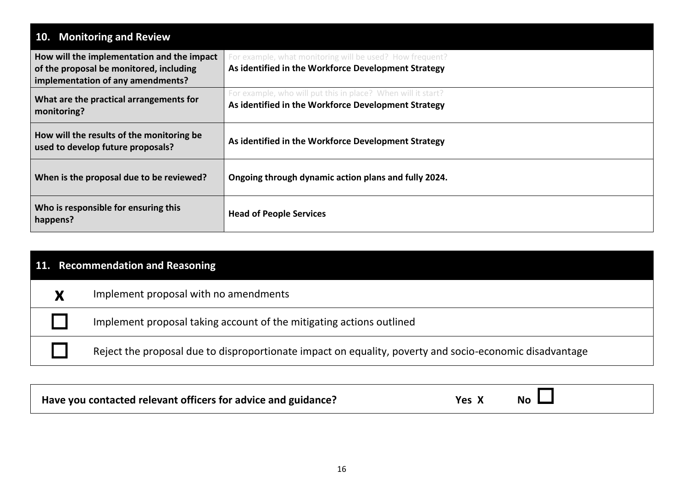| 10. Monitoring and Review                                                                                                  |                                                                                                                     |  |  |
|----------------------------------------------------------------------------------------------------------------------------|---------------------------------------------------------------------------------------------------------------------|--|--|
| How will the implementation and the impact<br>of the proposal be monitored, including<br>implementation of any amendments? | For example, what monitoring will be used? How frequent?<br>As identified in the Workforce Development Strategy     |  |  |
| What are the practical arrangements for<br>monitoring?                                                                     | For example, who will put this in place? When will it start?<br>As identified in the Workforce Development Strategy |  |  |
| How will the results of the monitoring be<br>used to develop future proposals?                                             | As identified in the Workforce Development Strategy                                                                 |  |  |
| When is the proposal due to be reviewed?                                                                                   | Ongoing through dynamic action plans and fully 2024.                                                                |  |  |
| Who is responsible for ensuring this<br>happens?                                                                           | <b>Head of People Services</b>                                                                                      |  |  |

| 11. Recommendation and Reasoning |                                                                                                         |  |
|----------------------------------|---------------------------------------------------------------------------------------------------------|--|
|                                  | Implement proposal with no amendments                                                                   |  |
|                                  | Implement proposal taking account of the mitigating actions outlined                                    |  |
|                                  | Reject the proposal due to disproportionate impact on equality, poverty and socio-economic disadvantage |  |

| Have you contacted relevant officers for advice and guidance? | <b>No</b><br>Yes |  |
|---------------------------------------------------------------|------------------|--|
|---------------------------------------------------------------|------------------|--|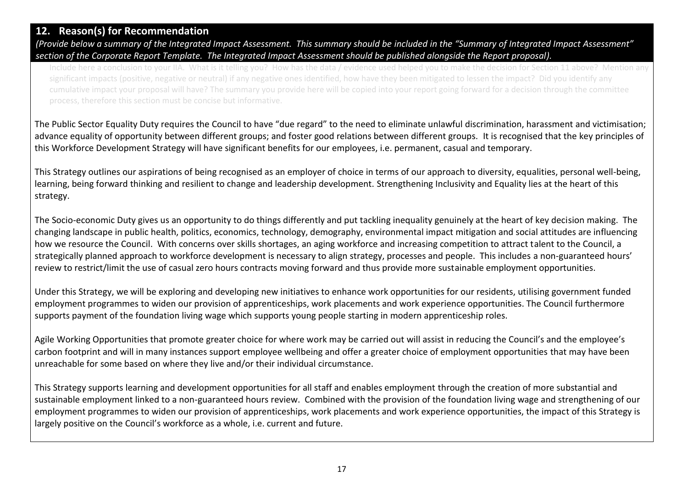## **12. Reason(s) for Recommendation**

*(Provide below a summary of the Integrated Impact Assessment. This summary should be included in the "Summary of Integrated Impact Assessment" section of the Corporate Report Template. The Integrated Impact Assessment should be published alongside the Report proposal).*

Include here a conclusion to your IIA. What is it telling you? How has the data / evidence used helped you to make the decision for Section 11 above? Mention any significant impacts (positive, negative or neutral) if any negative ones identified, how have they been mitigated to lessen the impact? Did you identify any cumulative impact your proposal will have? The summary you provide here will be copied into your report going forward for a decision through the committee process, therefore this section must be concise but informative.

The Public Sector Equality Duty requires the Council to have "due regard" to the need to eliminate unlawful discrimination, harassment and victimisation; advance equality of opportunity between different groups; and foster good relations between different groups. It is recognised that the key principles of this Workforce Development Strategy will have significant benefits for our employees, i.e. permanent, casual and temporary.

This Strategy outlines our aspirations of being recognised as an employer of choice in terms of our approach to diversity, equalities, personal well-being, learning, being forward thinking and resilient to change and leadership development. Strengthening Inclusivity and Equality lies at the heart of this strategy.

The Socio-economic Duty gives us an opportunity to do things differently and put tackling inequality genuinely at the heart of key decision making. The changing landscape in public health, politics, economics, technology, demography, environmental impact mitigation and social attitudes are influencing how we resource the Council. With concerns over skills shortages, an aging workforce and increasing competition to attract talent to the Council, a strategically planned approach to workforce development is necessary to align strategy, processes and people. This includes a non-guaranteed hours' review to restrict/limit the use of casual zero hours contracts moving forward and thus provide more sustainable employment opportunities.

Under this Strategy, we will be exploring and developing new initiatives to enhance work opportunities for our residents, utilising government funded employment programmes to widen our provision of apprenticeships, work placements and work experience opportunities. The Council furthermore supports payment of the foundation living wage which supports young people starting in modern apprenticeship roles.

Agile Working Opportunities that promote greater choice for where work may be carried out will assist in reducing the Council's and the employee's carbon footprint and will in many instances support employee wellbeing and offer a greater choice of employment opportunities that may have been unreachable for some based on where they live and/or their individual circumstance.

This Strategy supports learning and development opportunities for all staff and enables employment through the creation of more substantial and sustainable employment linked to a non-guaranteed hours review. Combined with the provision of the foundation living wage and strengthening of our employment programmes to widen our provision of apprenticeships, work placements and work experience opportunities, the impact of this Strategy is largely positive on the Council's workforce as a whole, i.e. current and future.